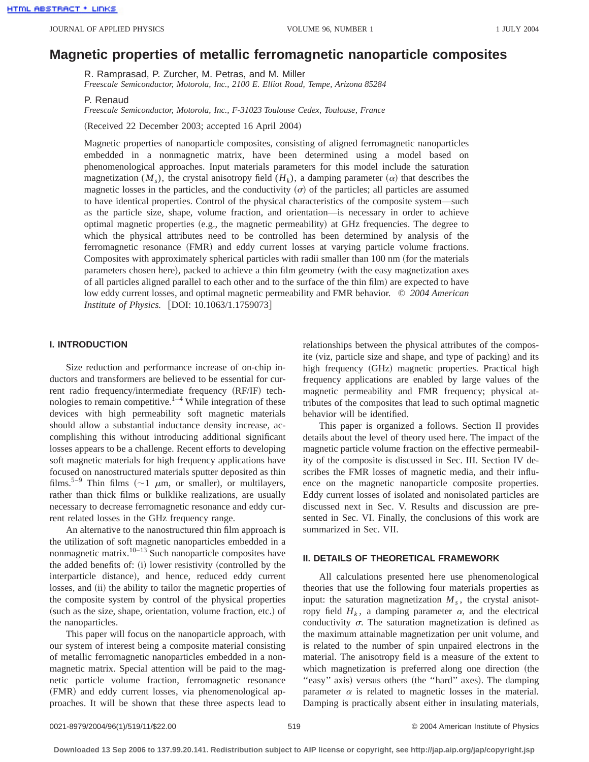# **Magnetic properties of metallic ferromagnetic nanoparticle composites**

R. Ramprasad, P. Zurcher, M. Petras, and M. Miller

*Freescale Semiconductor, Motorola, Inc., 2100 E. Elliot Road, Tempe, Arizona 85284*

P. Renaud

*Freescale Semiconductor, Motorola, Inc., F-31023 Toulouse Cedex, Toulouse, France*

(Received 22 December 2003; accepted 16 April 2004)

Magnetic properties of nanoparticle composites, consisting of aligned ferromagnetic nanoparticles embedded in a nonmagnetic matrix, have been determined using a model based on phenomenological approaches. Input materials parameters for this model include the saturation magnetization ( $M_s$ ), the crystal anisotropy field ( $H_k$ ), a damping parameter ( $\alpha$ ) that describes the magnetic losses in the particles, and the conductivity  $(\sigma)$  of the particles; all particles are assumed to have identical properties. Control of the physical characteristics of the composite system—such as the particle size, shape, volume fraction, and orientation—is necessary in order to achieve optimal magnetic properties  $(e.g., the magnetic permeability)$  at GHz frequencies. The degree to which the physical attributes need to be controlled has been determined by analysis of the ferromagnetic resonance (FMR) and eddy current losses at varying particle volume fractions. Composites with approximately spherical particles with radii smaller than 100 nm (for the materials parameters chosen here), packed to achieve a thin film geometry (with the easy magnetization axes of all particles aligned parallel to each other and to the surface of the thin film) are expected to have low eddy current losses, and optimal magnetic permeability and FMR behavior. © *2004 American Institute of Physics.* [DOI: 10.1063/1.1759073]

## **I. INTRODUCTION**

Size reduction and performance increase of on-chip inductors and transformers are believed to be essential for current radio frequency/intermediate frequency (RF/IF) technologies to remain competitive. $1-4$  While integration of these devices with high permeability soft magnetic materials should allow a substantial inductance density increase, accomplishing this without introducing additional significant losses appears to be a challenge. Recent efforts to developing soft magnetic materials for high frequency applications have focused on nanostructured materials sputter deposited as thin films.<sup>5–9</sup> Thin films ( $\sim$ 1  $\mu$ m, or smaller), or multilayers, rather than thick films or bulklike realizations, are usually necessary to decrease ferromagnetic resonance and eddy current related losses in the GHz frequency range.

An alternative to the nanostructured thin film approach is the utilization of soft magnetic nanoparticles embedded in a nonmagnetic matrix.<sup>10–13</sup> Such nanoparticle composites have the added benefits of:  $(i)$  lower resistivity (controlled by the interparticle distance), and hence, reduced eddy current losses, and (ii) the ability to tailor the magnetic properties of the composite system by control of the physical properties (such as the size, shape, orientation, volume fraction, etc.) of the nanoparticles.

This paper will focus on the nanoparticle approach, with our system of interest being a composite material consisting of metallic ferromagnetic nanoparticles embedded in a nonmagnetic matrix. Special attention will be paid to the magnetic particle volume fraction, ferromagnetic resonance (FMR) and eddy current losses, via phenomenological approaches. It will be shown that these three aspects lead to relationships between the physical attributes of the composite (viz, particle size and shape, and type of packing) and its high frequency (GHz) magnetic properties. Practical high frequency applications are enabled by large values of the magnetic permeability and FMR frequency; physical attributes of the composites that lead to such optimal magnetic behavior will be identified.

This paper is organized a follows. Section II provides details about the level of theory used here. The impact of the magnetic particle volume fraction on the effective permeability of the composite is discussed in Sec. III. Section IV describes the FMR losses of magnetic media, and their influence on the magnetic nanoparticle composite properties. Eddy current losses of isolated and nonisolated particles are discussed next in Sec. V. Results and discussion are presented in Sec. VI. Finally, the conclusions of this work are summarized in Sec. VII.

# **II. DETAILS OF THEORETICAL FRAMEWORK**

All calculations presented here use phenomenological theories that use the following four materials properties as input: the saturation magnetization  $M<sub>s</sub>$ , the crystal anisotropy field  $H_k$ , a damping parameter  $\alpha$ , and the electrical conductivity  $\sigma$ . The saturation magnetization is defined as the maximum attainable magnetization per unit volume, and is related to the number of spin unpaired electrons in the material. The anisotropy field is a measure of the extent to which magnetization is preferred along one direction (the "easy" axis) versus others (the "hard" axes). The damping parameter  $\alpha$  is related to magnetic losses in the material. Damping is practically absent either in insulating materials,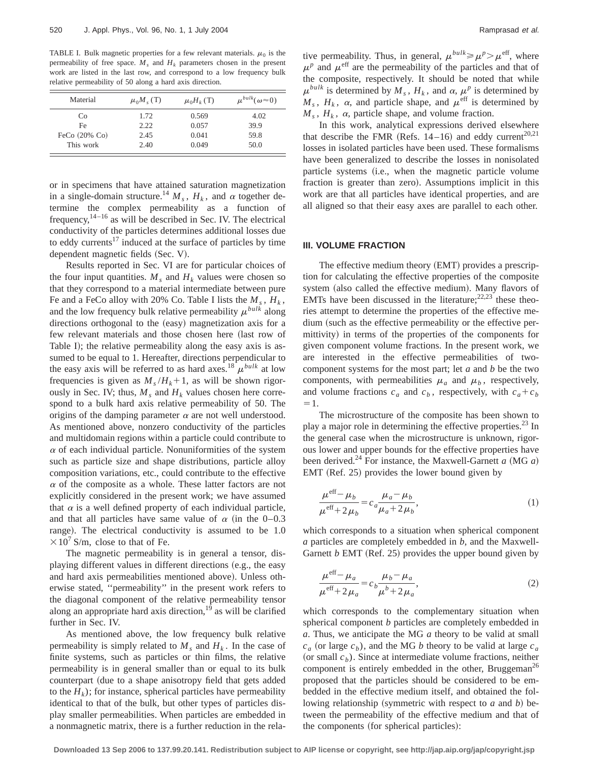TABLE I. Bulk magnetic properties for a few relevant materials.  $\mu_0$  is the permeability of free space.  $M_s$  and  $H_k$  parameters chosen in the present work are listed in the last row, and correspond to a low frequency bulk relative permeability of 50 along a hard axis direction.

| Material         | $\mu_0 M$ , (T) | $\mu_0H_k(T)$ | $\mu^{bulk}(\omega \approx 0)$ |
|------------------|-----------------|---------------|--------------------------------|
| Co               | 1.72            | 0.569         | 4.02                           |
| Fe               | 2.22            | 0.057         | 39.9                           |
| FeCo $(20\%$ Co) | 2.45            | 0.041         | 59.8                           |
| This work        | 2.40            | 0.049         | 50.0                           |

or in specimens that have attained saturation magnetization in a single-domain structure.<sup>14</sup>  $M_s$ ,  $H_k$ , and  $\alpha$  together determine the complex permeability as a function of frequency,  $14-16$  as will be described in Sec. IV. The electrical conductivity of the particles determines additional losses due to eddy currents<sup>17</sup> induced at the surface of particles by time dependent magnetic fields (Sec. V).

Results reported in Sec. VI are for particular choices of the four input quantities.  $M_s$  and  $H_k$  values were chosen so that they correspond to a material intermediate between pure Fe and a FeCo alloy with 20% Co. Table I lists the  $M_s$ ,  $H_k$ , and the low frequency bulk relative permeability  $\mu^{bulk}$  along directions orthogonal to the (easy) magnetization axis for a few relevant materials and those chosen here (last row of Table I); the relative permeability along the easy axis is assumed to be equal to 1. Hereafter, directions perpendicular to the easy axis will be referred to as hard axes.<sup>18</sup>  $\mu^{bulk}$  at low frequencies is given as  $M_s/H_k+1$ , as will be shown rigorously in Sec. IV; thus,  $M_s$  and  $H_k$  values chosen here correspond to a bulk hard axis relative permeability of 50. The origins of the damping parameter  $\alpha$  are not well understood. As mentioned above, nonzero conductivity of the particles and multidomain regions within a particle could contribute to  $\alpha$  of each individual particle. Nonuniformities of the system such as particle size and shape distributions, particle alloy composition variations, etc., could contribute to the effective  $\alpha$  of the composite as a whole. These latter factors are not explicitly considered in the present work; we have assumed that  $\alpha$  is a well defined property of each individual particle, and that all particles have same value of  $\alpha$  (in the 0–0.3 range). The electrical conductivity is assumed to be 1.0  $\times 10^7$  S/m, close to that of Fe.

The magnetic permeability is in general a tensor, displaying different values in different directions (e.g., the easy and hard axis permeabilities mentioned above). Unless otherwise stated, ''permeability'' in the present work refers to the diagonal component of the relative permeability tensor along an appropriate hard axis direction, $^{19}$  as will be clarified further in Sec. IV.

As mentioned above, the low frequency bulk relative permeability is simply related to  $M_s$  and  $H_k$ . In the case of finite systems, such as particles or thin films, the relative permeability is in general smaller than or equal to its bulk counterpart (due to a shape anisotropy field that gets added to the  $H_k$ ); for instance, spherical particles have permeability identical to that of the bulk, but other types of particles display smaller permeabilities. When particles are embedded in a nonmagnetic matrix, there is a further reduction in the rela-

tive permeability. Thus, in general,  $\mu^{bulk} \ge \mu^p > \mu^{eff}$ , where  $\mu^p$  and  $\mu^{\text{eff}}$  are the permeability of the particles and that of the composite, respectively. It should be noted that while  $\mu^{bulk}$  is determined by  $M_s$ ,  $H_k$ , and  $\alpha$ ,  $\mu^p$  is determined by  $M_s$ ,  $H_k$ ,  $\alpha$ , and particle shape, and  $\mu^{\text{eff}}$  is determined by  $M_s$ ,  $H_k$ ,  $\alpha$ , particle shape, and volume fraction.

In this work, analytical expressions derived elsewhere that describe the FMR (Refs.  $14-16$ ) and eddy current<sup>20,21</sup> losses in isolated particles have been used. These formalisms have been generalized to describe the losses in nonisolated particle systems (i.e., when the magnetic particle volume fraction is greater than zero). Assumptions implicit in this work are that all particles have identical properties, and are all aligned so that their easy axes are parallel to each other.

# **III. VOLUME FRACTION**

The effective medium theory (EMT) provides a prescription for calculating the effective properties of the composite system (also called the effective medium). Many flavors of EMTs have been discussed in the literature;  $22,23$  these theories attempt to determine the properties of the effective medium (such as the effective permeability or the effective permittivity) in terms of the properties of the components for given component volume fractions. In the present work, we are interested in the effective permeabilities of twocomponent systems for the most part; let *a* and *b* be the two components, with permeabilities  $\mu_a$  and  $\mu_b$ , respectively, and volume fractions  $c_a$  and  $c_b$ , respectively, with  $c_a + c_b$  $=1.$ 

The microstructure of the composite has been shown to play a major role in determining the effective properties.<sup>23</sup> In the general case when the microstructure is unknown, rigorous lower and upper bounds for the effective properties have been derived.<sup>24</sup> For instance, the Maxwell-Garnett *a* (MG *a*)  $EMT$  (Ref. 25) provides the lower bound given by

$$
\frac{\mu^{\text{eff}} - \mu_b}{\mu^{\text{eff}} + 2\mu_b} = c_a \frac{\mu_a - \mu_b}{\mu_a + 2\mu_b},\tag{1}
$$

which corresponds to a situation when spherical component *a* particles are completely embedded in *b*, and the Maxwell-Garnett  $b$  EMT (Ref. 25) provides the upper bound given by

$$
\frac{\mu^{\text{eff}} - \mu_a}{\mu^{\text{eff}} + 2\mu_a} = c_b \frac{\mu_b - \mu_a}{\mu^b + 2\mu_a},\tag{2}
$$

which corresponds to the complementary situation when spherical component *b* particles are completely embedded in *a*. Thus, we anticipate the MG *a* theory to be valid at small  $c_a$  (or large  $c_b$ ), and the MG *b* theory to be valid at large  $c_a$ (or small  $c<sub>b</sub>$ ). Since at intermediate volume fractions, neither component is entirely embedded in the other, Bruggeman<sup>26</sup> proposed that the particles should be considered to be embedded in the effective medium itself, and obtained the following relationship (symmetric with respect to  $a$  and  $b$ ) between the permeability of the effective medium and that of the components (for spherical particles):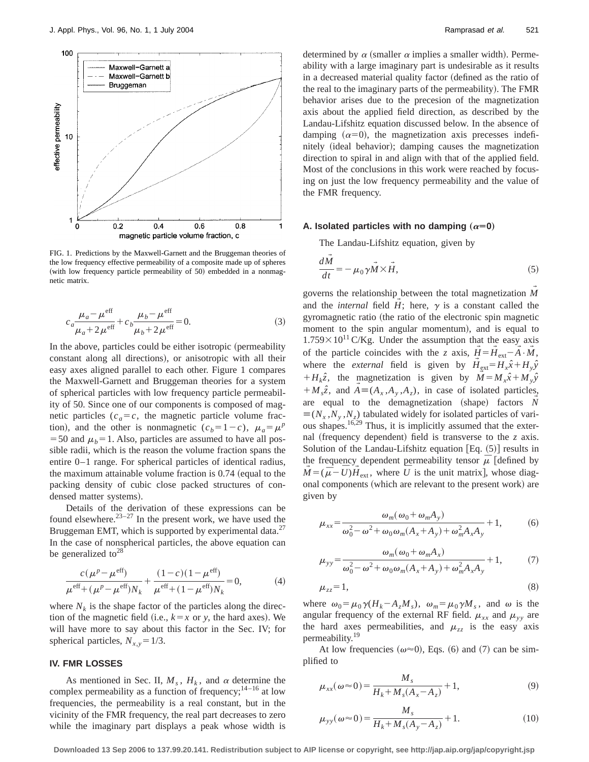

FIG. 1. Predictions by the Maxwell-Garnett and the Bruggeman theories of the low frequency effective permeability of a composite made up of spheres (with low frequency particle permeability of  $50$ ) embedded in a nonmagnetic matrix.

$$
c_a \frac{\mu_a - \mu^{\text{eff}}}{\mu_a + 2\mu^{\text{eff}}} + c_b \frac{\mu_b - \mu^{\text{eff}}}{\mu_b + 2\mu^{\text{eff}}} = 0.
$$
 (3)

In the above, particles could be either isotropic (permeability constant along all directions), or anisotropic with all their easy axes aligned parallel to each other. Figure 1 compares the Maxwell-Garnett and Bruggeman theories for a system of spherical particles with low frequency particle permeability of 50. Since one of our components is composed of magnetic particles  $(c_a = c$ , the magnetic particle volume fraction), and the other is nonmagnetic  $(c_b=1-c)$ ,  $\mu_a=\mu^p$  $=$  50 and  $\mu_b$ = 1. Also, particles are assumed to have all possible radii, which is the reason the volume fraction spans the entire 0–1 range. For spherical particles of identical radius, the maximum attainable volume fraction is  $0.74$  (equal to the packing density of cubic close packed structures of condensed matter systems).

Details of the derivation of these expressions can be found elsewhere. $23-27$  In the present work, we have used the Bruggeman EMT, which is supported by experimental data.<sup>27</sup> In the case of nonspherical particles, the above equation can be generalized to<sup>28</sup>

$$
\frac{c(\mu^p - \mu^{\text{eff}})}{\mu^{\text{eff}} + (\mu^p - \mu^{\text{eff}})N_k} + \frac{(1 - c)(1 - \mu^{\text{eff}})}{\mu^{\text{eff}} + (1 - \mu^{\text{eff}})N_k} = 0,
$$
(4)

where  $N_k$  is the shape factor of the particles along the direction of the magnetic field (i.e.,  $k=x$  or *y*, the hard axes). We will have more to say about this factor in the Sec. IV; for spherical particles,  $N_{x,y} = 1/3$ .

#### **IV. FMR LOSSES**

As mentioned in Sec. II,  $M_s$ ,  $H_k$ , and  $\alpha$  determine the complex permeability as a function of frequency;  $14-16$  at low frequencies, the permeability is a real constant, but in the vicinity of the FMR frequency, the real part decreases to zero while the imaginary part displays a peak whose width is determined by  $\alpha$  (smaller  $\alpha$  implies a smaller width). Permeability with a large imaginary part is undesirable as it results in a decreased material quality factor (defined as the ratio of the real to the imaginary parts of the permeability). The FMR behavior arises due to the precesion of the magnetization axis about the applied field direction, as described by the Landau-Lifshitz equation discussed below. In the absence of damping  $(\alpha=0)$ , the magnetization axis precesses indefinitely (ideal behavior); damping causes the magnetization direction to spiral in and align with that of the applied field. Most of the conclusions in this work were reached by focusing on just the low frequency permeability and the value of the FMR frequency.

#### A. Isolated particles with no damping  $(\alpha=0)$

The Landau-Lifshitz equation, given by

$$
\frac{dM}{dt} = -\mu_0 \gamma \vec{M} \times \vec{H},\tag{5}
$$

governs the relationship between the total magnetization *M* and the *internal* field  $H$ ; here,  $\gamma$  is a constant called the gyromagnetic ratio (the ratio of the electronic spin magnetic moment to the spin angular momentum), and is equal to  $1.759\times10^{11}$  C/Kg. Under the assumption that the easy axis of the particle coincides with the *z* axis,  $\vec{H} = \vec{H}_{ext} - \vec{A} \cdot \vec{M}$ ,  $\rightarrow$ where the *external* field is given by  $H_{ext} = H_x \hat{x} + H_y \hat{y}$  $H_k\hat{z}$ , the magnetization is given by  $M = M_x\hat{x} + M_y\hat{y}$  $+ M_s \hat{z}$ , and  $A = (A_x, A_y, A_z)$ , in case of isolated particles,  $\rightarrow$ are equal to the demagnetization  $(\text{shape})$  factors  $N$  $\equiv (N_x, N_y, N_z)$  tabulated widely for isolated particles of various shapes.<sup>16,29</sup> Thus, it is implicitly assumed that the external (frequency dependent) field is transverse to the  $z$  axis. Solution of the Landau-Lifshitz equation  $[Eq. (5)]$  results in the frequency dependent permeability tensor  $\bar{\mu}$  [defined by  $M = (\bar{\mu} - U)H_{\text{ext}}$ , where *U* is the unit matrix], whose diagonal components (which are relevant to the present work) are given by

$$
\mu_{xx} = \frac{\omega_m(\omega_0 + \omega_m A_y)}{\omega_0^2 - \omega^2 + \omega_0 \omega_m (A_x + A_y) + \omega_m^2 A_x A_y} + 1, \tag{6}
$$

$$
\mu_{yy} = \frac{\omega_m(\omega_0 + \omega_m A_x)}{\omega_0^2 - \omega^2 + \omega_0 \omega_m (A_x + A_y) + \omega_m^2 A_x A_y} + 1, \tag{7}
$$

$$
\mu_{zz} = 1,\tag{8}
$$

where  $\omega_0 = \mu_0 \gamma (H_k - A_z M_s)$ ,  $\omega_m = \mu_0 \gamma M_s$ , and  $\omega$  is the angular frequency of the external RF field.  $\mu_{xx}$  and  $\mu_{yy}$  are the hard axes permeabilities, and  $\mu_{zz}$  is the easy axis permeability.<sup>19</sup>

At low frequencies ( $\omega \approx 0$ ), Eqs. (6) and (7) can be simplified to

$$
\mu_{xx}(\omega \approx 0) = \frac{M_s}{H_k + M_s(A_x - A_z)} + 1,\tag{9}
$$

$$
\mu_{yy}(\omega \approx 0) = \frac{M_s}{H_k + M_s(A_y - A_z)} + 1.
$$
\n(10)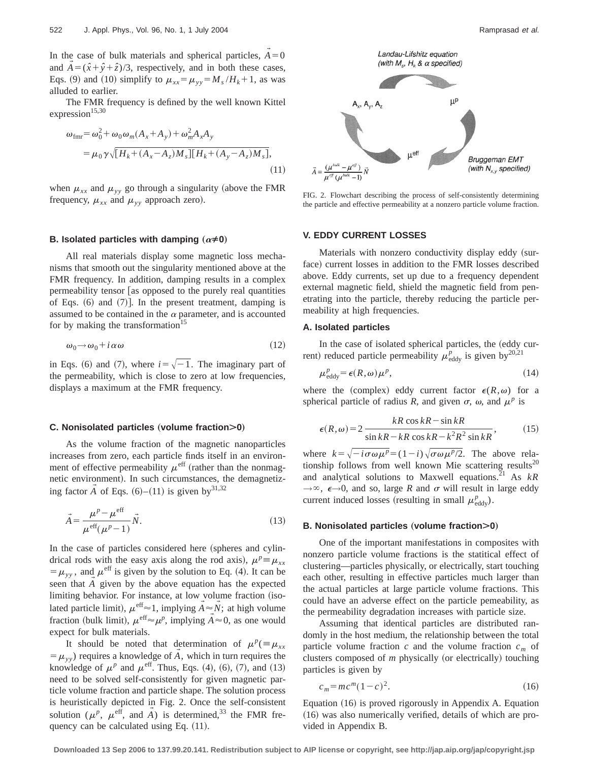In the case of bulk materials and spherical particles,  $\vec{A} = 0$ and  $\vec{A} = (\hat{x} + \hat{y} + \hat{z})/3$ , respectively, and in both these cases, Eqs. (9) and (10) simplify to  $\mu_{xx} = \mu_{yy} = M_s / H_k + 1$ , as was alluded to earlier.

The FMR frequency is defined by the well known Kittel expression $15,30$ 

$$
\omega_{\text{fmr}} = \omega_0^2 + \omega_0 \omega_m (A_x + A_y) + \omega_m^2 A_x A_y
$$
  
=  $\mu_0 \gamma \sqrt{[H_k + (A_x - A_z)M_s][H_k + (A_y - A_z)M_s]}$ , (11)

when  $\mu_{xx}$  and  $\mu_{yy}$  go through a singularity (above the FMR frequency,  $\mu_{xx}$  and  $\mu_{yy}$  approach zero).

#### **B.** Isolated particles with damping  $(\alpha \neq 0)$

All real materials display some magnetic loss mechanisms that smooth out the singularity mentioned above at the FMR frequency. In addition, damping results in a complex permeability tensor [as opposed to the purely real quantities of Eqs.  $(6)$  and  $(7)$ ]. In the present treatment, damping is assumed to be contained in the  $\alpha$  parameter, and is accounted for by making the transformation<sup>15</sup>

$$
\omega_0 \to \omega_0 + i \alpha \omega \tag{12}
$$

in Eqs. (6) and (7), where  $i=\sqrt{-1}$ . The imaginary part of the permeability, which is close to zero at low frequencies, displays a maximum at the FMR frequency.

#### **C.** Nonisolated particles (volume fraction>0)

As the volume fraction of the magnetic nanoparticles increases from zero, each particle finds itself in an environment of effective permeability  $\mu^{\text{eff}}$  (rather than the nonmagnetic environment). In such circumstances, the demagnetizing factor  $\vec{A}$  of Eqs. (6)–(11) is given by<sup>31,32</sup>

$$
\vec{A} = \frac{\mu^p - \mu^{\text{eff}}}{\mu^{\text{eff}}(\mu^p - 1)} \vec{N}.
$$
\n(13)

In the case of particles considered here (spheres and cylindrical rods with the easy axis along the rod axis),  $\mu^p \equiv \mu_{xx}$  $= \mu_{yy}$ , and  $\mu^{\text{eff}}$  is given by the solution to Eq. (4). It can be seen that *A* given by the above equation has the expected  $\rightarrow$ limiting behavior. For instance, at low volume fraction (isolated particle limit),  $\mu^{\text{eff}} \approx 1$ , implying  $\vec{A} \approx \vec{N}$ ; at high volume  $\rightarrow$ fraction (bulk limit),  $\mu^{\text{eff}} \approx \mu^p$ , implying  $\vec{A} \approx 0$ , as one would expect for bulk materials.

It should be noted that determination of  $\mu^p$ ( $\equiv \mu_{xx}$  $=$   $\mu_{yy}$ ) requires a knowledge of  $\vec{A}$ , which in turn requires the knowledge of  $\mu^p$  and  $\mu^{\text{eff}}$ . Thus, Eqs. (4), (6), (7), and (13) need to be solved self-consistently for given magnetic particle volume fraction and particle shape. The solution process is heuristically depicted in Fig. 2. Once the self-consistent solution ( $\mu^p$ ,  $\mu^{\text{eff}}$ , and  $\vec{A}$ ) is determined,<sup>33</sup> the FMR frequency can be calculated using Eq.  $(11)$ .



FIG. 2. Flowchart describing the process of self-consistently determining the particle and effective permeability at a nonzero particle volume fraction.

#### **V. EDDY CURRENT LOSSES**

Materials with nonzero conductivity display eddy (surface) current losses in addition to the FMR losses described above. Eddy currents, set up due to a frequency dependent external magnetic field, shield the magnetic field from penetrating into the particle, thereby reducing the particle permeability at high frequencies.

# **A. Isolated particles**

In the case of isolated spherical particles, the (eddy current) reduced particle permeability  $\mu_{\text{eddy}}^p$  is given by<sup>20,21</sup>

$$
\mu_{\text{eddy}}^p = \epsilon(R, \omega) \mu^p,\tag{14}
$$

where the (complex) eddy current factor  $\epsilon(R,\omega)$  for a spherical particle of radius *R*, and given  $\sigma$ ,  $\omega$ , and  $\mu^p$  is

$$
\epsilon(R,\omega) = 2 \frac{kR \cos kR - \sin kR}{\sin kR - kR \cos kR - k^2R^2 \sin kR},
$$
(15)

where  $k=\sqrt{-i\sigma\omega\mu^p}=(1-i)\sqrt{\sigma\omega\mu^p/2}$ . The above relationship follows from well known Mie scattering results<sup>20</sup> and analytical solutions to Maxwell equations.<sup>21</sup> As  $kR$  $\rightarrow \infty$ ,  $\epsilon \rightarrow 0$ , and so, large *R* and  $\sigma$  will result in large eddy current induced losses (resulting in small  $\mu_{\text{eddy}}^p$ ).

#### **B. Nonisolated particles (volume fraction>0)**

One of the important manifestations in composites with nonzero particle volume fractions is the statitical effect of clustering—particles physically, or electrically, start touching each other, resulting in effective particles much larger than the actual particles at large particle volume fractions. This could have an adverse effect on the particle pemeability, as the permeability degradation increases with particle size.

Assuming that identical particles are distributed randomly in the host medium, the relationship between the total particle volume fraction  $c$  and the volume fraction  $c_m$  of clusters composed of *m* physically (or electrically) touching particles is given by

$$
c_m = mc^m (1 - c)^2.
$$
 (16)

Equation (16) is proved rigorously in Appendix A. Equation  $(16)$  was also numerically verified, details of which are provided in Appendix B.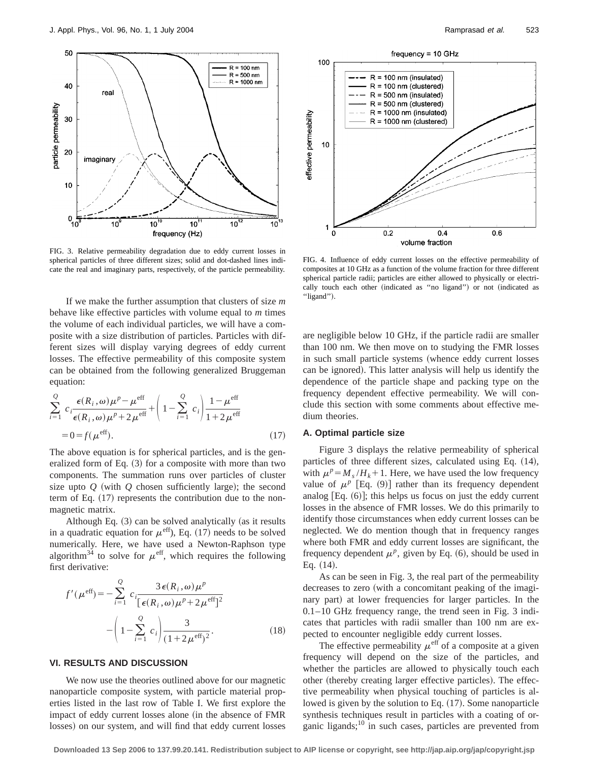

FIG. 3. Relative permeability degradation due to eddy current losses in spherical particles of three different sizes; solid and dot-dashed lines indicate the real and imaginary parts, respectively, of the particle permeability.

If we make the further assumption that clusters of size *m* behave like effective particles with volume equal to *m* times the volume of each individual particles, we will have a composite with a size distribution of particles. Particles with different sizes will display varying degrees of eddy current losses. The effective permeability of this composite system can be obtained from the following generalized Bruggeman equation:

$$
\sum_{i=1}^{Q} c_i \frac{\epsilon(R_i, \omega)\mu^p - \mu^{\text{eff}}}{\epsilon(R_i, \omega)\mu^p + 2\mu^{\text{eff}}} + \left(1 - \sum_{i=1}^{Q} c_i\right) \frac{1 - \mu^{\text{eff}}}{1 + 2\mu^{\text{eff}}}
$$
\n
$$
= 0 = f(\mu^{\text{eff}}). \tag{17}
$$

The above equation is for spherical particles, and is the generalized form of Eq.  $(3)$  for a composite with more than two components. The summation runs over particles of cluster size upto  $Q$  (with  $Q$  chosen sufficiently large); the second term of Eq.  $(17)$  represents the contribution due to the nonmagnetic matrix.

Although Eq.  $(3)$  can be solved analytically (as it results in a quadratic equation for  $\mu^{\text{eff}}$ ), Eq. (17) needs to be solved numerically. Here, we have used a Newton-Raphson type algorithm<sup>34</sup> to solve for  $\mu^{\text{eff}}$ , which requires the following first derivative:

$$
f'(\mu^{\text{eff}}) = -\sum_{i=1}^{Q} c_i \frac{3\epsilon(R_i, \omega)\mu^p}{[\epsilon(R_i, \omega)\mu^p + 2\mu^{\text{eff}}]^2}
$$

$$
-\left(1 - \sum_{i=1}^{Q} c_i\right) \frac{3}{(1 + 2\mu^{\text{eff}})^2}.
$$
(18)

# **VI. RESULTS AND DISCUSSION**

We now use the theories outlined above for our magnetic nanoparticle composite system, with particle material properties listed in the last row of Table I. We first explore the impact of eddy current losses alone (in the absence of FMR losses) on our system, and will find that eddy current losses



FIG. 4. Influence of eddy current losses on the effective permeability of composites at 10 GHz as a function of the volume fraction for three different spherical particle radii; particles are either allowed to physically or electrically touch each other (indicated as "no ligand") or not (indicated as "ligand").

are negligible below 10 GHz, if the particle radii are smaller than 100 nm. We then move on to studying the FMR losses in such small particle systems (whence eddy current losses can be ignored). This latter analysis will help us identify the dependence of the particle shape and packing type on the frequency dependent effective permeability. We will conclude this section with some comments about effective medium theories.

# **A. Optimal particle size**

Figure 3 displays the relative permeability of spherical particles of three different sizes, calculated using Eq.  $(14)$ , with  $\mu^p = M_s / H_k + 1$ . Here, we have used the low frequency value of  $\mu^p$  [Eq. (9)] rather than its frequency dependent analog  $[Eq. (6)]$ ; this helps us focus on just the eddy current losses in the absence of FMR losses. We do this primarily to identify those circumstances when eddy current losses can be neglected. We do mention though that in frequency ranges where both FMR and eddy current losses are significant, the frequency dependent  $\mu^p$ , given by Eq. (6), should be used in Eq.  $(14)$ .

As can be seen in Fig. 3, the real part of the permeability decreases to zero (with a concomitant peaking of the imaginary part) at lower frequencies for larger particles. In the 0.1–10 GHz frequency range, the trend seen in Fig. 3 indicates that particles with radii smaller than 100 nm are expected to encounter negligible eddy current losses.

The effective permeability  $\mu^{\text{eff}}$  of a composite at a given frequency will depend on the size of the particles, and whether the particles are allowed to physically touch each other (thereby creating larger effective particles). The effective permeability when physical touching of particles is allowed is given by the solution to Eq.  $(17)$ . Some nanoparticle synthesis techniques result in particles with a coating of organic ligands; $^{10}$  in such cases, particles are prevented from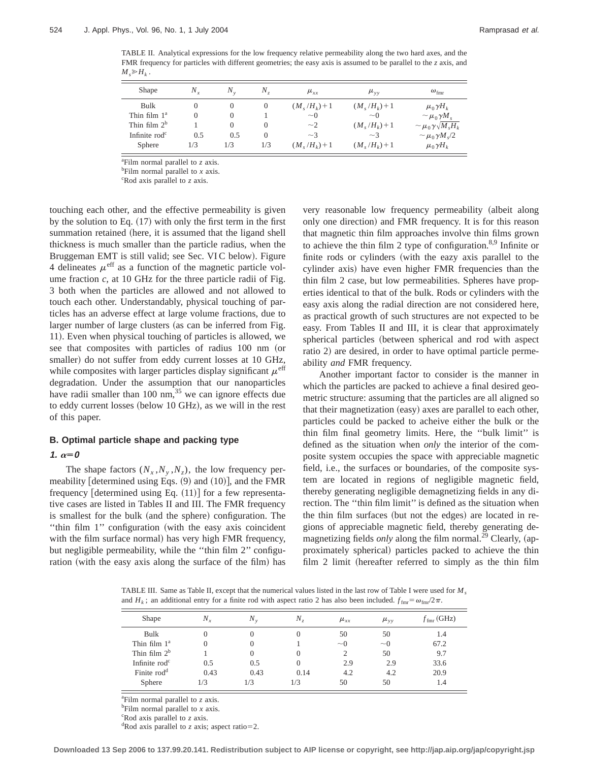TABLE II. Analytical expressions for the low frequency relative permeability along the two hard axes, and the FMR frequency for particles with different geometries; the easy axis is assumed to be parallel to the *z* axis, and  $M_{s} \geqslant H_{k}$ .

| <b>Shape</b>              | $N_{\star}$ | $N_{\rm v}$ | Ν.       | $\mu_{xx}$      | $\mu_{vv}$      | $\omega_{\text{fmr}}$              |
|---------------------------|-------------|-------------|----------|-----------------|-----------------|------------------------------------|
| Bulk                      |             | $\theta$    | $\theta$ | $(M,(H_k)+1)$   | $(M_s/H_k) + 1$ | $\mu_0 \gamma H_k$                 |
| Thin film $1a$            |             | $\theta$    |          | $\sim$ 0        | $\sim$ 0        | $\sim \mu_0 \gamma M_s$            |
| Thin film $2^b$           |             | $\theta$    | $\theta$ | $\sim$ 2        | $(M_s/H_k) + 1$ | $\sim \mu_0 \gamma \sqrt{M_s H_k}$ |
| Infinite rod <sup>c</sup> | 0.5         | 0.5         | $\theta$ | $\sim$ 3        | $\sim$ 3        | $\sim \mu_0 \gamma M_s/2$          |
| <b>Sphere</b>             | 1/3         | 1/3         | 1/3      | $(M_s/H_k) + 1$ | $(M_s/H_k) + 1$ | $\mu_0 \gamma H_k$                 |

a Film normal parallel to *z* axis.

b Film normal parallel to *x* axis.

c Rod axis parallel to *z* axis.

touching each other, and the effective permeability is given by the solution to Eq.  $(17)$  with only the first term in the first summation retained (here, it is assumed that the ligand shell thickness is much smaller than the particle radius, when the Bruggeman EMT is still valid; see Sec. VIC below). Figure 4 delineates  $\mu^{\text{eff}}$  as a function of the magnetic particle volume fraction  $c$ , at 10 GHz for the three particle radii of Fig. 3 both when the particles are allowed and not allowed to touch each other. Understandably, physical touching of particles has an adverse effect at large volume fractions, due to larger number of large clusters (as can be inferred from Fig. 11). Even when physical touching of particles is allowed, we see that composites with particles of radius 100 nm (or smaller) do not suffer from eddy current losses at 10 GHz, while composites with larger particles display significant  $\mu^{\rm eff}$ degradation. Under the assumption that our nanoparticles have radii smaller than  $100 \text{ nm}$ , <sup>35</sup> we can ignore effects due to eddy current losses (below 10 GHz), as we will in the rest of this paper.

# **B. Optimal particle shape and packing type**

# **1.**  $\alpha = 0$

The shape factors  $(N_x, N_y, N_z)$ , the low frequency permeability [determined using Eqs.  $(9)$  and  $(10)$ ], and the FMR frequency [determined using Eq.  $(11)$ ] for a few representative cases are listed in Tables II and III. The FMR frequency is smallest for the bulk (and the sphere) configuration. The "thin film 1" configuration (with the easy axis coincident with the film surface normal) has very high FMR frequency, but negligible permeability, while the ''thin film 2'' configuration (with the easy axis along the surface of the film) has very reasonable low frequency permeability (albeit along only one direction) and FMR frequency. It is for this reason that magnetic thin film approaches involve thin films grown to achieve the thin film 2 type of configuration.<sup>8,9</sup> Infinite or finite rods or cylinders (with the eazy axis parallel to the cylinder axis) have even higher FMR frequencies than the thin film 2 case, but low permeabilities. Spheres have properties identical to that of the bulk. Rods or cylinders with the easy axis along the radial direction are not considered here, as practical growth of such structures are not expected to be easy. From Tables II and III, it is clear that approximately spherical particles (between spherical and rod with aspect ratio 2) are desired, in order to have optimal particle permeability *and* FMR frequency.

Another important factor to consider is the manner in which the particles are packed to achieve a final desired geometric structure: assuming that the particles are all aligned so that their magnetization (easy) axes are parallel to each other, particles could be packed to acheive either the bulk or the thin film final geometry limits. Here, the ''bulk limit'' is defined as the situation when *only* the interior of the composite system occupies the space with appreciable magnetic field, i.e., the surfaces or boundaries, of the composite system are located in regions of negligible magnetic field, thereby generating negligible demagnetizing fields in any direction. The ''thin film limit'' is defined as the situation when the thin film surfaces (but not the edges) are located in regions of appreciable magnetic field, thereby generating demagnetizing fields *only* along the film normal.<sup>29</sup> Clearly, (approximately spherical) particles packed to achieve the thin film  $2$  limit (hereafter referred to simply as the thin film

TABLE III. Same as Table II, except that the numerical values listed in the last row of Table I were used for *Ms* and  $H_k$ ; an additional entry for a finite rod with aspect ratio 2 has also been included.  $f_{\text{fmr}} = \omega_{\text{fmr}}/2\pi$ .

| <b>Shape</b>            | $N_{r}$ | $N_{\rm v}$ | $N_{\tau}$       | $\mu_{xx}$      | $\mu_{\rm vy}$ | $f_{\text{fmr}}$ (GHz) |
|-------------------------|---------|-------------|------------------|-----------------|----------------|------------------------|
| Bulk                    | 0       | $\theta$    | $\left( \right)$ | 50              | 50             | 1.4                    |
| Thin film $1^a$         | 0       | 0           |                  | $\sim$ $\Omega$ | $\sim$ 0       | 67.2                   |
| Thin film $2^b$         |         | 0           | $\theta$         | $\mathcal{D}$   | 50             | 9.7                    |
| Infinite $\text{rod}^c$ | 0.5     | 0.5         | 0                | 2.9             | 2.9            | 33.6                   |
| Finite rod <sup>d</sup> | 0.43    | 0.43        | 0.14             | 4.2             | 4.2            | 20.9                   |
| Sphere                  | 1/3     | 1/3         | 1/3              | 50              | 50             | 1.4                    |

a Film normal parallel to *z* axis.

b Film normal parallel to *x* axis.

c Rod axis parallel to *z* axis.

 $d$ Rod axis parallel to *z* axis; aspect ratio=2.

**Downloaded 13 Sep 2006 to 137.99.20.141. Redistribution subject to AIP license or copyright, see http://jap.aip.org/jap/copyright.jsp**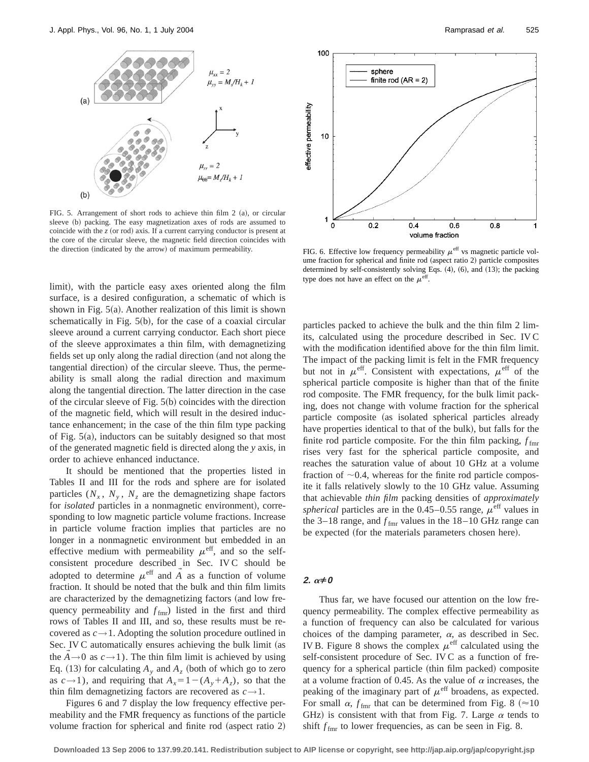

FIG. 5. Arrangement of short rods to achieve thin film  $2$  (a), or circular sleeve (b) packing. The easy magnetization axes of rods are assumed to coincide with the  $z$  (or rod) axis. If a current carrying conductor is present at the core of the circular sleeve, the magnetic field direction coincides with the direction (indicated by the arrow) of maximum permeability.

limit), with the particle easy axes oriented along the film surface, is a desired configuration, a schematic of which is shown in Fig.  $5(a)$ . Another realization of this limit is shown schematically in Fig.  $5(b)$ , for the case of a coaxial circular sleeve around a current carrying conductor. Each short piece of the sleeve approximates a thin film, with demagnetizing fields set up only along the radial direction (and not along the tangential direction) of the circular sleeve. Thus, the permeability is small along the radial direction and maximum along the tangential direction. The latter direction in the case of the circular sleeve of Fig.  $5(b)$  coincides with the direction of the magnetic field, which will result in the desired inductance enhancement; in the case of the thin film type packing of Fig.  $5(a)$ , inductors can be suitably designed so that most of the generated magnetic field is directed along the *y* axis, in order to achieve enhanced inductance.

It should be mentioned that the properties listed in Tables II and III for the rods and sphere are for isolated particles  $(N_x, N_y, N_z)$  are the demagnetizing shape factors for *isolated* particles in a nonmagnetic environment), corresponding to low magnetic particle volume fractions. Increase in particle volume fraction implies that particles are no longer in a nonmagnetic environment but embedded in an effective medium with permeability  $\mu^{\text{eff}}$ , and so the selfconsistent procedure described in Sec. IV C should be adopted to determine  $\mu^{\text{eff}}$  and  $\tilde{A}$  as a function of volume fraction. It should be noted that the bulk and thin film limits are characterized by the demagnetizing factors (and low frequency permeability and  $f_{\text{fmr}}$ ) listed in the first and third rows of Tables II and III, and so, these results must be recovered as  $c \rightarrow 1$ . Adopting the solution procedure outlined in Sec. IV C automatically ensures achieving the bulk limit (as the  $A \rightarrow 0$  as  $c \rightarrow 1$ ). The thin film limit is achieved by using Eq. (13) for calculating  $A_y$  and  $A_z$  (both of which go to zero as  $c \rightarrow 1$ ), and requiring that  $A_x = 1 - (A_y + A_z)$ , so that the thin film demagnetizing factors are recovered as  $c \rightarrow 1$ .

Figures 6 and 7 display the low frequency effective permeability and the FMR frequency as functions of the particle volume fraction for spherical and finite rod  $(aspect ratio 2)$ 



FIG. 6. Effective low frequency permeability  $\mu^{\text{eff}}$  vs magnetic particle volume fraction for spherical and finite rod (aspect ratio 2) particle composites determined by self-consistently solving Eqs.  $(4)$ ,  $(6)$ , and  $(13)$ ; the packing type does not have an effect on the  $\mu^{\text{eff}}$ .

particles packed to achieve the bulk and the thin film 2 limits, calculated using the procedure described in Sec. IV C with the modification identified above for the thin film limit. The impact of the packing limit is felt in the FMR frequency but not in  $\mu^{\text{eff}}$ . Consistent with expectations,  $\mu^{\text{eff}}$  of the spherical particle composite is higher than that of the finite rod composite. The FMR frequency, for the bulk limit packing, does not change with volume fraction for the spherical particle composite (as isolated spherical particles already have properties identical to that of the bulk), but falls for the finite rod particle composite. For the thin film packing,  $f_{\text{fm}}$ rises very fast for the spherical particle composite, and reaches the saturation value of about 10 GHz at a volume fraction of  $\sim 0.4$ , whereas for the finite rod particle composite it falls relatively slowly to the 10 GHz value. Assuming that achievable *thin film* packing densities of *approximately spherical* particles are in the  $0.45-0.55$  range,  $\mu^{\text{eff}}$  values in the 3–18 range, and  $f_{\text{fmr}}$  values in the 18–10 GHz range can be expected (for the materials parameters chosen here).

# **2.**  $\alpha \neq 0$

Thus far, we have focused our attention on the low frequency permeability. The complex effective permeability as a function of frequency can also be calculated for various choices of the damping parameter,  $\alpha$ , as described in Sec. IV B. Figure 8 shows the complex  $\mu^{\text{eff}}$  calculated using the self-consistent procedure of Sec. IV C as a function of frequency for a spherical particle (thin film packed) composite at a volume fraction of 0.45. As the value of  $\alpha$  increases, the peaking of the imaginary part of  $\mu^{\text{eff}}$  broadens, as expected. For small  $\alpha$ ,  $f_{\text{fmr}}$  that can be determined from Fig. 8 ( $\approx$ 10) GHz) is consistent with that from Fig. 7. Large  $\alpha$  tends to shift  $f_{\text{fmr}}$  to lower frequencies, as can be seen in Fig. 8.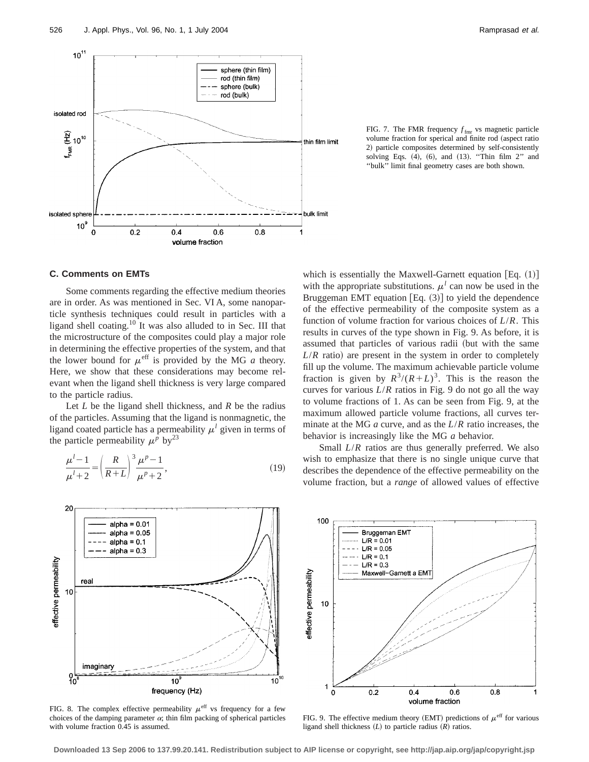

FIG. 7. The FMR frequency  $f_{\text{fmr}}$  vs magnetic particle volume fraction for sperical and finite rod (aspect ratio 2) particle composites determined by self-consistently solving Eqs.  $(4)$ ,  $(6)$ , and  $(13)$ . "Thin film 2" and ''bulk'' limit final geometry cases are both shown.

# **C. Comments on EMTs**

Some comments regarding the effective medium theories are in order. As was mentioned in Sec. VI A, some nanoparticle synthesis techniques could result in particles with a ligand shell coating.10 It was also alluded to in Sec. III that the microstructure of the composites could play a major role in determining the effective properties of the system, and that the lower bound for  $\mu^{\text{eff}}$  is provided by the MG *a* theory. Here, we show that these considerations may become relevant when the ligand shell thickness is very large compared to the particle radius.

Let *L* be the ligand shell thickness, and *R* be the radius of the particles. Assuming that the ligand is nonmagnetic, the ligand coated particle has a permeability  $\mu^l$  given in terms of the particle permeability  $\mu^p$  by<sup>23</sup>

$$
\frac{\mu^{l}-1}{\mu^{l}+2} = \left(\frac{R}{R+L}\right)^{3} \frac{\mu^{p}-1}{\mu^{p}+2},
$$
\n(19)



FIG. 8. The complex effective permeability  $\mu^{\text{eff}}$  vs frequency for a few choices of the damping parameter  $\alpha$ ; thin film packing of spherical particles with volume fraction 0.45 is assumed.

which is essentially the Maxwell-Garnett equation  $[Eq. (1)]$ with the appropriate substitutions.  $\mu^l$  can now be used in the Bruggeman EMT equation  $[Eq. (3)]$  to yield the dependence of the effective permeability of the composite system as a function of volume fraction for various choices of *L*/*R*. This results in curves of the type shown in Fig. 9. As before, it is assumed that particles of various radii (but with the same  $L/R$  ratio) are present in the system in order to completely fill up the volume. The maximum achievable particle volume fraction is given by  $R^3/(R+L)^3$ . This is the reason the curves for various *L*/*R* ratios in Fig. 9 do not go all the way to volume fractions of 1. As can be seen from Fig. 9, at the maximum allowed particle volume fractions, all curves terminate at the MG *a* curve, and as the *L*/*R* ratio increases, the behavior is increasingly like the MG *a* behavior.

Small *L*/*R* ratios are thus generally preferred. We also wish to emphasize that there is no single unique curve that describes the dependence of the effective permeability on the volume fraction, but a *range* of allowed values of effective



FIG. 9. The effective medium theory (EMT) predictions of  $\mu^{\text{eff}}$  for various ligand shell thickness  $(L)$  to particle radius  $(R)$  ratios.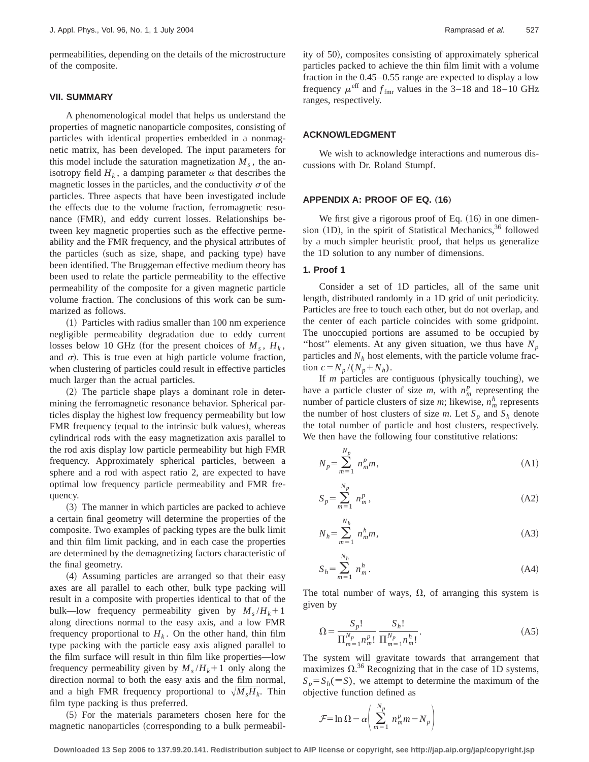permeabilities, depending on the details of the microstructure of the composite.

# **VII. SUMMARY**

A phenomenological model that helps us understand the properties of magnetic nanoparticle composites, consisting of particles with identical properties embedded in a nonmagnetic matrix, has been developed. The input parameters for this model include the saturation magnetization  $M_s$ , the anisotropy field  $H_k$ , a damping parameter  $\alpha$  that describes the magnetic losses in the particles, and the conductivity  $\sigma$  of the particles. Three aspects that have been investigated include the effects due to the volume fraction, ferromagnetic resonance (FMR), and eddy current losses. Relationships between key magnetic properties such as the effective permeability and the FMR frequency, and the physical attributes of the particles (such as size, shape, and packing type) have been identified. The Bruggeman effective medium theory has been used to relate the particle permeability to the effective permeability of the composite for a given magnetic particle volume fraction. The conclusions of this work can be summarized as follows.

 $(1)$  Particles with radius smaller than 100 nm experience negligible permeability degradation due to eddy current losses below 10 GHz (for the present choices of  $M_s$ ,  $H_k$ , and  $\sigma$ ). This is true even at high particle volume fraction, when clustering of particles could result in effective particles much larger than the actual particles.

(2) The particle shape plays a dominant role in determining the ferromagnetic resonance behavior. Spherical particles display the highest low frequency permeability but low FMR frequency (equal to the intrinsic bulk values), whereas cylindrical rods with the easy magnetization axis parallel to the rod axis display low particle permeability but high FMR frequency. Approximately spherical particles, between a sphere and a rod with aspect ratio 2, are expected to have optimal low frequency particle permeability and FMR frequency.

 $(3)$  The manner in which particles are packed to achieve a certain final geometry will determine the properties of the composite. Two examples of packing types are the bulk limit and thin film limit packing, and in each case the properties are determined by the demagnetizing factors characteristic of the final geometry.

(4) Assuming particles are arranged so that their easy axes are all parallel to each other, bulk type packing will result in a composite with properties identical to that of the bulk—low frequency permeability given by  $M_s/H_k+1$ along directions normal to the easy axis, and a low FMR frequency proportional to  $H_k$ . On the other hand, thin film type packing with the particle easy axis aligned parallel to the film surface will result in thin film like properties—low frequency permeability given by  $M_s/H_k+1$  only along the direction normal to both the easy axis and the film normal, and a high FMR frequency proportional to  $\sqrt{M_s H_k}$ . Thin film type packing is thus preferred.

~5! For the materials parameters chosen here for the magnetic nanoparticles (corresponding to a bulk permeability of 50), composites consisting of approximately spherical particles packed to achieve the thin film limit with a volume fraction in the 0.45–0.55 range are expected to display a low frequency  $\mu^{\text{eff}}$  and  $f_{\text{fmr}}$  values in the 3–18 and 18–10 GHz ranges, respectively.

### **ACKNOWLEDGMENT**

We wish to acknowledge interactions and numerous discussions with Dr. Roland Stumpf.

#### **APPENDIX A: PROOF OF EQ. (16)**

We first give a rigorous proof of Eq.  $(16)$  in one dimension  $(1D)$ , in the spirit of Statistical Mechanics,  $36$  followed by a much simpler heuristic proof, that helps us generalize the 1D solution to any number of dimensions.

# **1. Proof 1**

*Np*

*Nh*

Consider a set of 1D particles, all of the same unit length, distributed randomly in a 1D grid of unit periodicity. Particles are free to touch each other, but do not overlap, and the center of each particle coincides with some gridpoint. The unoccupied portions are assumed to be occupied by "host" elements. At any given situation, we thus have  $N_p$ particles and  $N<sub>h</sub>$  host elements, with the particle volume fraction  $c = N_p / (N_p + N_h)$ .

If *m* particles are contiguous (physically touching), we have a particle cluster of size *m*, with  $n_m^p$  representing the number of particle clusters of size *m*; likewise,  $n_m^h$  represents the number of host clusters of size *m*. Let  $S_p$  and  $S_h$  denote the total number of particle and host clusters, respectively. We then have the following four constitutive relations:

$$
N_p = \sum_{m=1}^{N_p} n_m^p m,
$$
\n(A1)

$$
S_p = \sum_{m=1}^{N_p} n_m^p, \tag{A2}
$$

$$
N_h = \sum_{m=1}^{N_h} n_m^h m,
$$
\n(A3)

$$
S_h = \sum_{m=1}^{N_h} n_m^h. \tag{A4}
$$

The total number of ways,  $\Omega$ , of arranging this system is given by

$$
\Omega = \frac{S_p!}{\prod_{m=1}^{N_p} n_m^p!} \frac{S_h!}{\prod_{m=1}^{N_p} n_m^h!}.
$$
\n(A5)

The system will gravitate towards that arrangement that maximizes  $\Omega$ .<sup>36</sup> Recognizing that in the case of 1D systems,  $S_p = S_h (\equiv S)$ , we attempt to determine the maximum of the objective function defined as

$$
\mathcal{F} = \ln \Omega - \alpha \bigg( \sum_{m=1}^{N_p} n_m^p m - N_p \bigg)
$$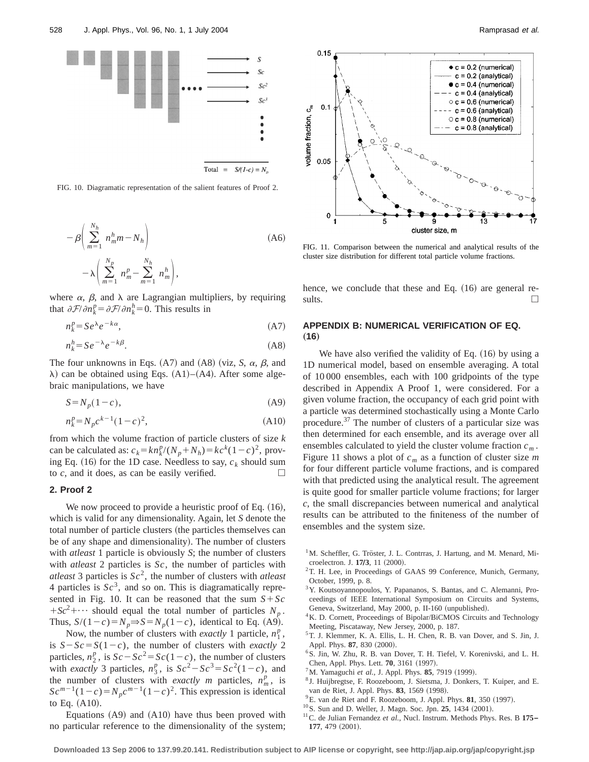

FIG. 10. Diagramatic representation of the salient features of Proof 2.

$$
-\beta \left( \sum_{m=1}^{N_h} n_m^h m - N_h \right)
$$
  

$$
-\lambda \left( \sum_{m=1}^{N_p} n_m^p - \sum_{m=1}^{N_h} n_m^h \right),
$$
 (A6)

where  $\alpha$ ,  $\beta$ , and  $\lambda$  are Lagrangian multipliers, by requiring that  $\partial \mathcal{F}/\partial n_k^p = \partial \mathcal{F}/\partial n_k^h = 0$ . This results in

$$
n_k^p = Se^{\lambda}e^{-k\alpha},\tag{A7}
$$

$$
n_k^h = Se^{-\lambda}e^{-k\beta}.\tag{A8}
$$

The four unknowns in Eqs.  $(A7)$  and  $(A8)$  (viz, *S*,  $\alpha$ ,  $\beta$ , and  $\lambda$ ) can be obtained using Eqs. (A1)–(A4). After some algebraic manipulations, we have

$$
S = N_p(1 - c),\tag{A9}
$$

$$
n_k^p = N_p c^{k-1} (1-c)^2,
$$
\n(A10)

from which the volume fraction of particle clusters of size *k* can be calculated as:  $c_k = kn_k^p/(N_p + N_h) = kc^k(1-c)^2$ , proving Eq.  $(16)$  for the 1D case. Needless to say,  $c_k$  should sum to  $c$ , and it does, as can be easily verified.  $\Box$ 

# **2. Proof 2**

We now proceed to provide a heuristic proof of Eq.  $(16)$ , which is valid for any dimensionality. Again, let *S* denote the total number of particle clusters (the particles themselves can be of any shape and dimensionality). The number of clusters with *atleast* 1 particle is obviously *S*; the number of clusters with *atleast* 2 particles is *Sc*, the number of particles with *atleast* 3 particles is *Sc*2, the number of clusters with *atleast* 4 particles is  $Sc^3$ , and so on. This is diagramatically represented in Fig. 10. It can be reasoned that the sum  $S + Sc$  $+Sc^2$ +… should equal the total number of particles *N<sub>p</sub>*. Thus,  $S/(1-c) = N_p \Rightarrow S = N_p(1-c)$ , identical to Eq. (A9).

Now, the number of clusters with *exactly* 1 particle,  $n_1^p$ , is  $S-Sc=S(1-c)$ , the number of clusters with *exactly* 2 particles,  $n_2^p$ , is  $Sc - Sc^2 = Sc(1-c)$ , the number of clusters with *exactly* 3 particles,  $n_3^p$ , is  $Sc^2 - Sc^3 = Sc^2(1-c)$ , and the number of clusters with *exactly m* particles,  $n_m^p$ , is  $Sc^{m-1}(1-c) = N_p c^{m-1}(1-c)^2$ . This expression is identical to Eq.  $(A10)$ .

Equations  $(A9)$  and  $(A10)$  have thus been proved with no particular reference to the dimensionality of the system;



FIG. 11. Comparison between the numerical and analytical results of the cluster size distribution for different total particle volume fractions.

hence, we conclude that these and Eq.  $(16)$  are general results.  $\Box$ 

# **APPENDIX B: NUMERICAL VERIFICATION OF EQ.**  $(16)$

We have also verified the validity of Eq.  $(16)$  by using a 1D numerical model, based on ensemble averaging. A total of 10 000 ensembles, each with 100 gridpoints of the type described in Appendix A Proof 1, were considered. For a given volume fraction, the occupancy of each grid point with a particle was determined stochastically using a Monte Carlo procedure.37 The number of clusters of a particular size was then determined for each ensemble, and its average over all ensembles calculated to yield the cluster volume fraction *cm* . Figure 11 shows a plot of  $c_m$  as a function of cluster size *m* for four different particle volume fractions, and is compared with that predicted using the analytical result. The agreement is quite good for smaller particle volume fractions; for larger *c*, the small discrepancies between numerical and analytical results can be attributed to the finiteness of the number of ensembles and the system size.

- $1^1$ M. Scheffler, G. Tröster, J. L. Contrras, J. Hartung, and M. Menard, Microelectron. J. **17Õ3**, 11 ~2000!.
- <sup>2</sup>T. H. Lee, in Proceedings of GAAS 99 Conference, Munich, Germany, October, 1999, p. 8.
- <sup>3</sup>Y. Koutsoyannopoulos, Y. Papananos, S. Bantas, and C. Alemanni, Proceedings of IEEE International Symposium on Circuits and Systems, Geneva, Switzerland, May 2000, p. II-160 (unpublished).
- <sup>4</sup>K. D. Cornett, Proceedings of Bipolar/BiCMOS Circuits and Technology Meeting, Piscataway, New Jersey, 2000, p. 187.
- 5T. J. Klemmer, K. A. Ellis, L. H. Chen, R. B. van Dover, and S. Jin, J. Appl. Phys. 87, 830 (2000).
- 6S. Jin, W. Zhu, R. B. van Dover, T. H. Tiefel, V. Korenivski, and L. H. Chen, Appl. Phys. Lett. **70**, 3161 (1997).
- <sup>7</sup>M. Yamaguchi *et al.*, J. Appl. Phys. **85**, 7919 (1999).
- <sup>8</sup> J. Huijbregtse, F. Roozeboom, J. Sietsma, J. Donkers, T. Kuiper, and E. van de Riet, J. Appl. Phys. 83, 1569 (1998).
- <sup>9</sup>E. van de Riet and F. Roozeboom, J. Appl. Phys. **81**, 350 (1997).
- <sup>10</sup>S. Sun and D. Weller, J. Magn. Soc. Jpn. **25**, 1434 (2001).
- 11C. de Julian Fernandez *et al.*, Nucl. Instrum. Methods Phys. Res. B **175– 177**, 479 (2001).